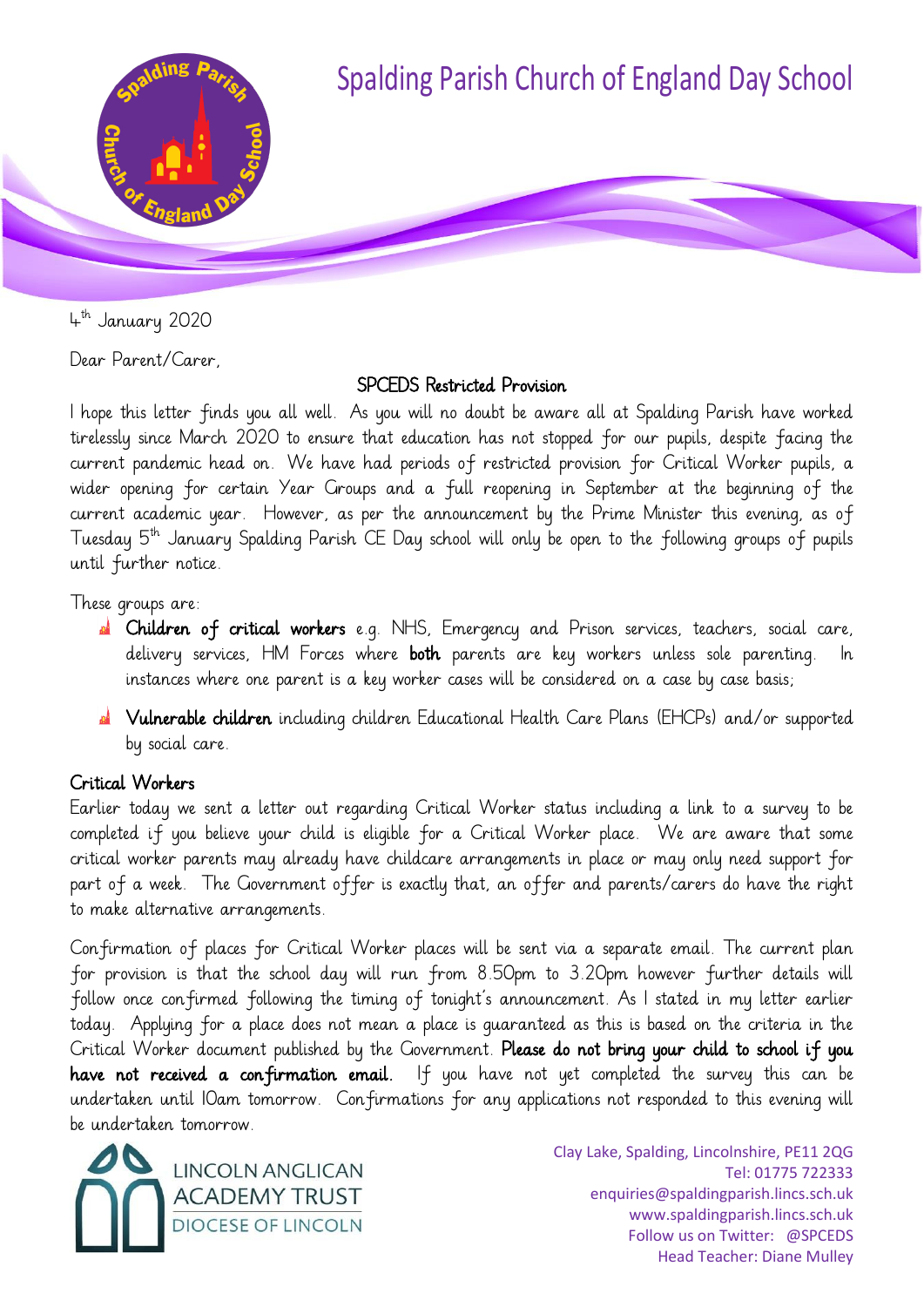

4 th January 2020

Dear Parent/Carer,

# SPCEDS Restricted Provision

I hope this letter finds you all well. As you will no doubt be aware all at Spalding Parish have worked tirelessly since March 2020 to ensure that education has not stopped for our pupils, despite facing the current pandemic head on. We have had periods of restricted provision for Critical Worker pupils, a wider opening for certain Year Groups and a full reopening in September at the beginning of the current academic year. However, as per the announcement by the Prime Minister this evening, as of Tuesday  $5^{th}$  January Spalding Parish CE Day school will only be open to the following groups of pupils until further notice.

These groups are:

- **A** Children of critical workers e.g. NHS, Emergency and Prison services, teachers, social care, delivery services, HM Forces where **both** parents are key workers unless sole parenting. In instances where one parent is a key worker cases will be considered on a case by case basis;
- **A** Vulnerable children including children Educational Health Care Plans (EHCPs) and/or supported by social care.

# Critical Workers

Earlier today we sent a letter out regarding Critical Worker status including a link to a survey to be completed if you believe your child is eligible for a Critical Worker place. We are aware that some critical worker parents may already have childcare arrangements in place or may only need support for part of a week. The Government offer is exactly that, an offer and parents/carers do have the right to make alternative arrangements.

Confirmation of places for Critical Worker places will be sent via a separate email. The current plan for provision is that the school day will run from 8.50pm to 3.20pm however further details will follow once confirmed following the timing of tonight's announcement. As I stated in my letter earlier today. Applying for a place does not mean a place is guaranteed as this is based on the criteria in the Critical Worker document published by the Government. Please do not bring your child to school if you have not received a confirmation email. If you have not yet completed the survey this can be undertaken until 10am tomorrow. Confirmations for any applications not responded to this evening will be undertaken tomorrow.



Clay Lake, Spalding, Lincolnshire, PE11 2QG Tel: 01775 722333 enquiries@spaldingparish.lincs.sch.uk www.spaldingparish.lincs.sch.uk Follow us on Twitter: @SPCEDS Head Teacher: Diane Mulley